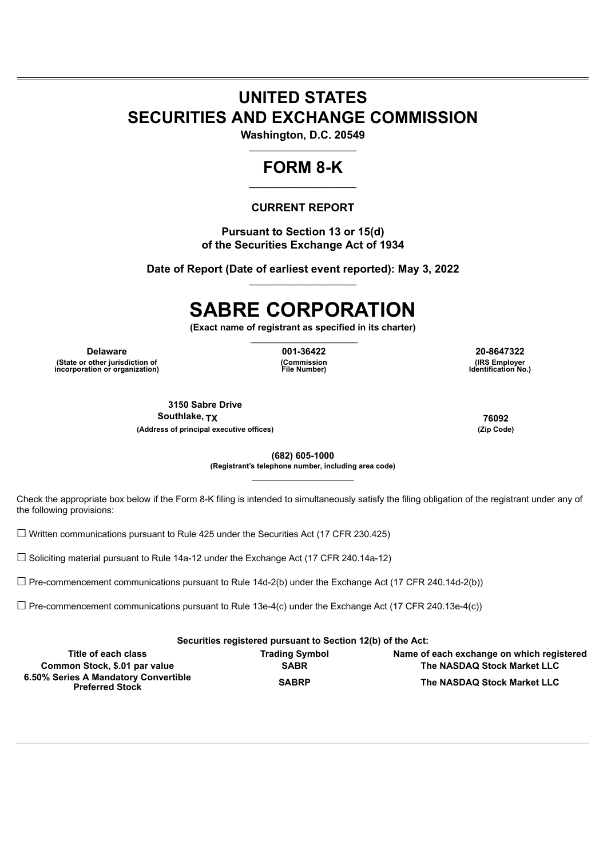## **UNITED STATES SECURITIES AND EXCHANGE COMMISSION**

**Washington, D.C. 20549**  $\frac{1}{2}$  ,  $\frac{1}{2}$  ,  $\frac{1}{2}$  ,  $\frac{1}{2}$  ,  $\frac{1}{2}$  ,  $\frac{1}{2}$  ,  $\frac{1}{2}$  ,  $\frac{1}{2}$  ,  $\frac{1}{2}$  ,  $\frac{1}{2}$  ,  $\frac{1}{2}$  ,  $\frac{1}{2}$  ,  $\frac{1}{2}$  ,  $\frac{1}{2}$  ,  $\frac{1}{2}$  ,  $\frac{1}{2}$  ,  $\frac{1}{2}$  ,  $\frac{1}{2}$  ,  $\frac{1$ 

## **FORM 8-K**  $\_$

#### **CURRENT REPORT**

**Pursuant to Section 13 or 15(d) of the Securities Exchange Act of 1934**

**Date of Report (Date of earliest event reported): May 3, 2022**  $\_$ 

# **SABRE CORPORATION**

**(Exact name of registrant as specified in its charter)**  $\_$ 

**Delaware 001-36422 20-8647322 (State or other jurisdiction of incorporation or organization)**

**(Commission File Number)**

**(IRS Employer Identification No.)**

**3150 Sabre Drive Southlake, TX 76092 (Address of principal executive offices) (Zip Code)**

**(682) 605-1000 (Registrant's telephone number, including area code)**  $\mathcal{L}=\mathcal{L}^{\text{max}}$ 

Check the appropriate box below if the Form 8-K filing is intended to simultaneously satisfy the filing obligation of the registrant under any of the following provisions:

☐ Written communications pursuant to Rule 425 under the Securities Act (17 CFR 230.425)

 $\Box$  Soliciting material pursuant to Rule 14a-12 under the Exchange Act (17 CFR 240.14a-12)

 $\Box$  Pre-commencement communications pursuant to Rule 14d-2(b) under the Exchange Act (17 CFR 240.14d-2(b))

 $\Box$  Pre-commencement communications pursuant to Rule 13e-4(c) under the Exchange Act (17 CFR 240.13e-4(c))

**Securities registered pursuant to Section 12(b) of the Act:**

| Title of each class                                            | <b>Trading Symbol</b> | Name of each exchange on which registered |
|----------------------------------------------------------------|-----------------------|-------------------------------------------|
| Common Stock, \$.01 par value                                  | <b>SABR</b>           | The NASDAQ Stock Market LLC               |
| 6.50% Series A Mandatory Convertible<br><b>Preferred Stock</b> | <b>SABRP</b>          | The NASDAQ Stock Market LLC               |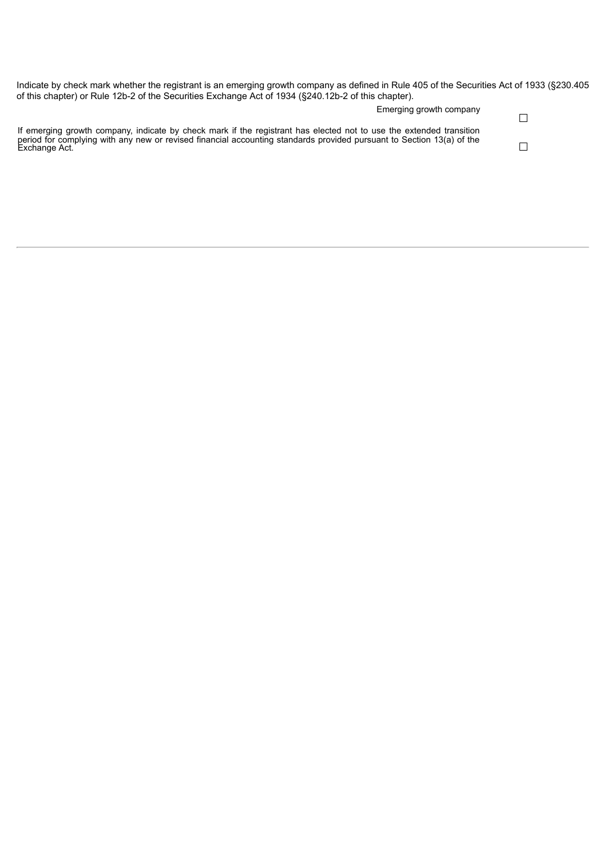| Indicate by check mark whether the registrant is an emerging growth company as defined in Rule 405 of the Securities Act of 1933 (§230.405<br>of this chapter) or Rule 12b-2 of the Securities Exchange Act of 1934 (§240.12b-2 of this chapter).             |  |
|---------------------------------------------------------------------------------------------------------------------------------------------------------------------------------------------------------------------------------------------------------------|--|
| Emerging growth company                                                                                                                                                                                                                                       |  |
| If emerging growth company, indicate by check mark if the registrant has elected not to use the extended transition<br>period for complying with any new or revised financial accounting standards provided pursuant to Section 13(a) of the<br>Exchange Act. |  |
|                                                                                                                                                                                                                                                               |  |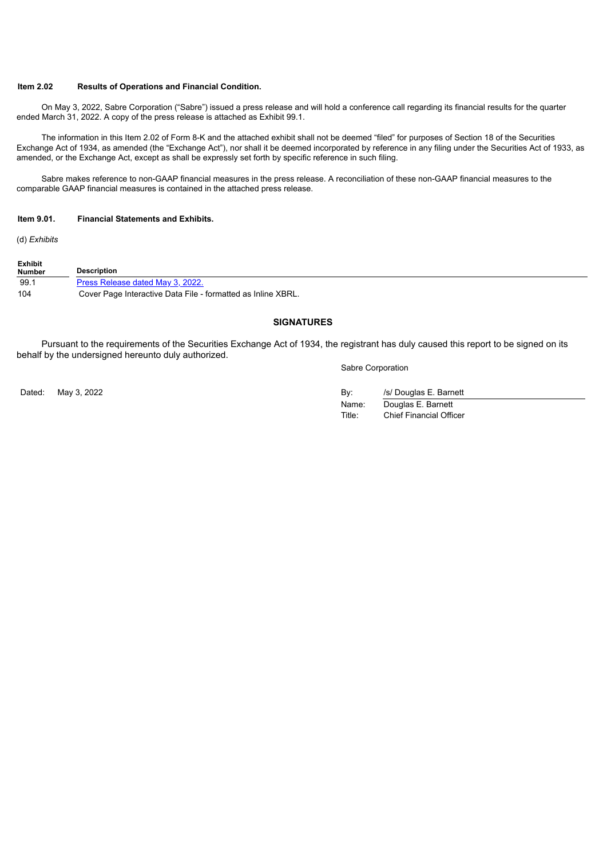#### **Item 2.02 Results of Operations and Financial Condition.**

On May 3, 2022, Sabre Corporation ("Sabre") issued a press release and will hold a conference call regarding its financial results for the quarter ended March 31, 2022. A copy of the press release is attached as Exhibit 99.1.

The information in this Item 2.02 of Form 8-K and the attached exhibit shall not be deemed "filed" for purposes of Section 18 of the Securities Exchange Act of 1934, as amended (the "Exchange Act"), nor shall it be deemed incorporated by reference in any filing under the Securities Act of 1933, as amended, or the Exchange Act, except as shall be expressly set forth by specific reference in such filing.

Sabre makes reference to non-GAAP financial measures in the press release. A reconciliation of these non-GAAP financial measures to the comparable GAAP financial measures is contained in the attached press release.

#### **Item 9.01. Financial Statements and Exhibits.**

(d) *Exhibits*

| <b>Exhibit</b><br><b>Number</b> | <b>Description</b>                                           |
|---------------------------------|--------------------------------------------------------------|
| 99.1                            | Press Release dated May 3, 2022.                             |
| 104                             | Cover Page Interactive Data File - formatted as Inline XBRL. |

#### **SIGNATURES**

Pursuant to the requirements of the Securities Exchange Act of 1934, the registrant has duly caused this report to be signed on its behalf by the undersigned hereunto duly authorized.

Sabre Corporation

| Dated: May 3, 2022 | Bv:    | /s/ Douglas E. Barnett         |
|--------------------|--------|--------------------------------|
|                    | Name:  | Douglas E. Barnett             |
|                    | Title: | <b>Chief Financial Officer</b> |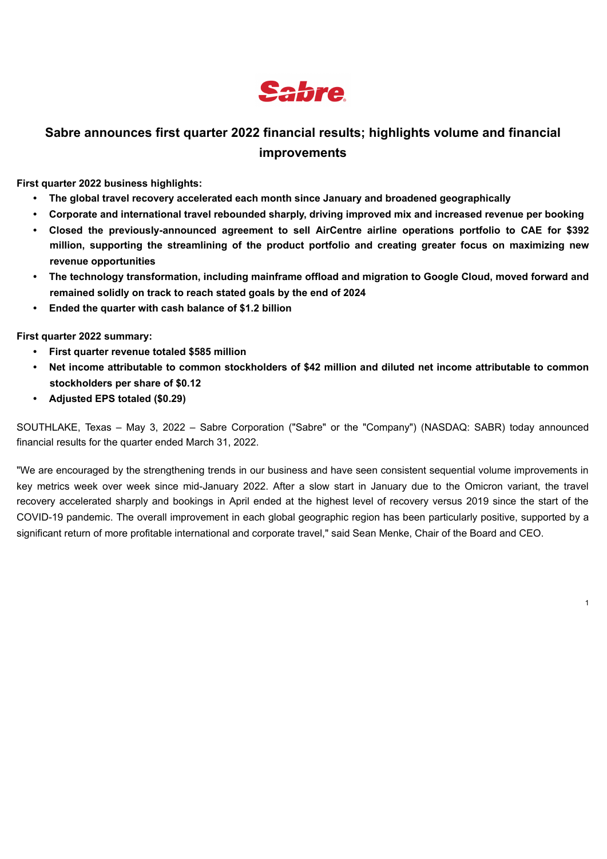

## <span id="page-3-0"></span>**Sabre announces first quarter 2022 financial results; highlights volume and financial improvements**

**First quarter 2022 business highlights:**

- **• The global travel recovery accelerated each month since January and broadened geographically**
- **• Corporate and international travel rebounded sharply, driving improved mix and increased revenue per booking**
- **• Closed the previously-announced agreement to sell AirCentre airline operations portfolio to CAE for \$392 million, supporting the streamlining of the product portfolio and creating greater focus on maximizing new revenue opportunities**
- **• The technology transformation, including mainframe offload and migration to Google Cloud, moved forward and remained solidly on track to reach stated goals by the end of 2024**
- **• Ended the quarter with cash balance of \$1.2 billion**

**First quarter 2022 summary:**

- **• First quarter revenue totaled \$585 million**
- Net income attributable to common stockholders of \$42 million and diluted net income attributable to common **stockholders per share of \$0.12**
- **• Adjusted EPS totaled (\$0.29)**

SOUTHLAKE, Texas – May 3, 2022 – Sabre Corporation ("Sabre" or the "Company") (NASDAQ: SABR) today announced financial results for the quarter ended March 31, 2022.

"We are encouraged by the strengthening trends in our business and have seen consistent sequential volume improvements in key metrics week over week since mid-January 2022. After a slow start in January due to the Omicron variant, the travel recovery accelerated sharply and bookings in April ended at the highest level of recovery versus 2019 since the start of the COVID-19 pandemic. The overall improvement in each global geographic region has been particularly positive, supported by a significant return of more profitable international and corporate travel," said Sean Menke, Chair of the Board and CEO.

1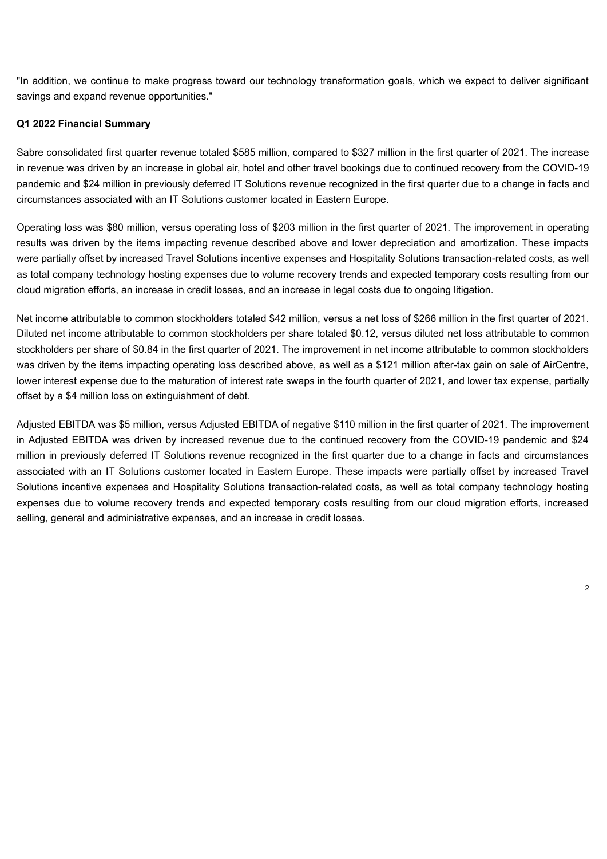"In addition, we continue to make progress toward our technology transformation goals, which we expect to deliver significant savings and expand revenue opportunities."

#### **Q1 2022 Financial Summary**

Sabre consolidated first quarter revenue totaled \$585 million, compared to \$327 million in the first quarter of 2021. The increase in revenue was driven by an increase in global air, hotel and other travel bookings due to continued recovery from the COVID-19 pandemic and \$24 million in previously deferred IT Solutions revenue recognized in the first quarter due to a change in facts and circumstances associated with an IT Solutions customer located in Eastern Europe.

Operating loss was \$80 million, versus operating loss of \$203 million in the first quarter of 2021. The improvement in operating results was driven by the items impacting revenue described above and lower depreciation and amortization. These impacts were partially offset by increased Travel Solutions incentive expenses and Hospitality Solutions transaction-related costs, as well as total company technology hosting expenses due to volume recovery trends and expected temporary costs resulting from our cloud migration efforts, an increase in credit losses, and an increase in legal costs due to ongoing litigation.

Net income attributable to common stockholders totaled \$42 million, versus a net loss of \$266 million in the first quarter of 2021. Diluted net income attributable to common stockholders per share totaled \$0.12, versus diluted net loss attributable to common stockholders per share of \$0.84 in the first quarter of 2021. The improvement in net income attributable to common stockholders was driven by the items impacting operating loss described above, as well as a \$121 million after-tax gain on sale of AirCentre, lower interest expense due to the maturation of interest rate swaps in the fourth quarter of 2021, and lower tax expense, partially offset by a \$4 million loss on extinguishment of debt.

Adjusted EBITDA was \$5 million, versus Adjusted EBITDA of negative \$110 million in the first quarter of 2021. The improvement in Adjusted EBITDA was driven by increased revenue due to the continued recovery from the COVID-19 pandemic and \$24 million in previously deferred IT Solutions revenue recognized in the first quarter due to a change in facts and circumstances associated with an IT Solutions customer located in Eastern Europe. These impacts were partially offset by increased Travel Solutions incentive expenses and Hospitality Solutions transaction-related costs, as well as total company technology hosting expenses due to volume recovery trends and expected temporary costs resulting from our cloud migration efforts, increased selling, general and administrative expenses, and an increase in credit losses.

 $\overline{2}$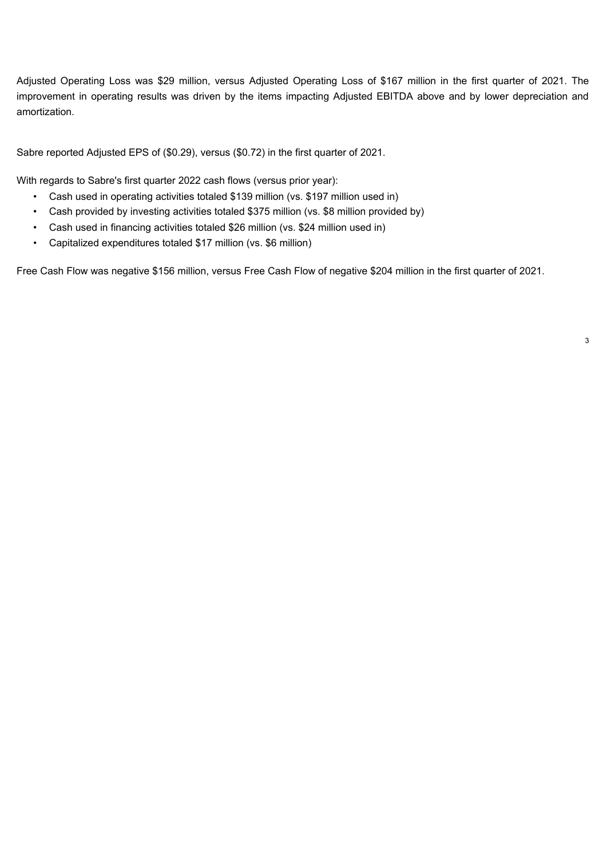Adjusted Operating Loss was \$29 million, versus Adjusted Operating Loss of \$167 million in the first quarter of 2021. The improvement in operating results was driven by the items impacting Adjusted EBITDA above and by lower depreciation and amortization.

Sabre reported Adjusted EPS of (\$0.29), versus (\$0.72) in the first quarter of 2021.

With regards to Sabre's first quarter 2022 cash flows (versus prior year):

- Cash used in operating activities totaled \$139 million (vs. \$197 million used in)
- Cash provided by investing activities totaled \$375 million (vs. \$8 million provided by)
- Cash used in financing activities totaled \$26 million (vs. \$24 million used in)
- Capitalized expenditures totaled \$17 million (vs. \$6 million)

Free Cash Flow was negative \$156 million, versus Free Cash Flow of negative \$204 million in the first quarter of 2021.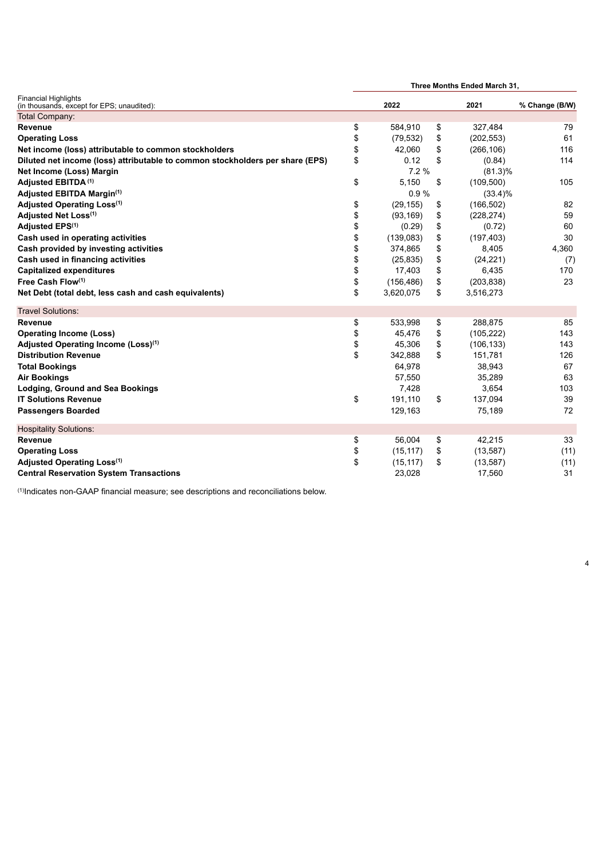|                                                                               | Three Months Ended March 31, |            |      |            |                |  |
|-------------------------------------------------------------------------------|------------------------------|------------|------|------------|----------------|--|
| <b>Financial Highlights</b><br>(in thousands, except for EPS; unaudited):     | 2022                         |            | 2021 |            | % Change (B/W) |  |
| Total Company:                                                                |                              |            |      |            |                |  |
| Revenue                                                                       | \$                           | 584,910    | \$   | 327,484    | 79             |  |
| <b>Operating Loss</b>                                                         | \$                           | (79, 532)  | \$   | (202, 553) | 61             |  |
| Net income (loss) attributable to common stockholders                         | \$                           | 42,060     | \$   | (266, 106) | 116            |  |
| Diluted net income (loss) attributable to common stockholders per share (EPS) | \$                           | 0.12       | \$   | (0.84)     | 114            |  |
| Net Income (Loss) Margin                                                      |                              | 7.2%       |      | $(81.3)\%$ |                |  |
| Adjusted EBITDA <sup>(1)</sup>                                                | \$                           | 5,150      | \$   | (109, 500) | 105            |  |
| Adjusted EBITDA Margin(1)                                                     |                              | 0.9%       |      | $(33.4)\%$ |                |  |
| Adjusted Operating Loss <sup>(1)</sup>                                        | \$                           | (29, 155)  | \$   | (166, 502) | 82             |  |
| Adjusted Net Loss(1)                                                          | \$                           | (93, 169)  | \$   | (228, 274) | 59             |  |
| Adjusted EPS <sup>(1)</sup>                                                   | \$                           | (0.29)     | \$   | (0.72)     | 60             |  |
| Cash used in operating activities                                             |                              | (139,083)  | \$   | (197, 403) | 30             |  |
| Cash provided by investing activities                                         | \$                           | 374,865    | \$   | 8,405      | 4,360          |  |
| Cash used in financing activities                                             |                              | (25, 835)  | \$   | (24, 221)  | (7)            |  |
| <b>Capitalized expenditures</b>                                               | \$                           | 17,403     | \$   | 6,435      | 170            |  |
| Free Cash Flow(1)                                                             | \$                           | (156, 486) | \$   | (203, 838) | 23             |  |
| Net Debt (total debt, less cash and cash equivalents)                         | \$                           | 3,620,075  | \$   | 3,516,273  |                |  |
| <b>Travel Solutions:</b>                                                      |                              |            |      |            |                |  |
| Revenue                                                                       | \$                           | 533,998    | \$   | 288,875    | 85             |  |
| <b>Operating Income (Loss)</b>                                                | \$                           | 45,476     | \$   | (105, 222) | 143            |  |
| Adjusted Operating Income (Loss) <sup>(1)</sup>                               | \$                           | 45,306     | \$   | (106, 133) | 143            |  |
| <b>Distribution Revenue</b>                                                   | \$                           | 342,888    | \$   | 151,781    | 126            |  |
| <b>Total Bookings</b>                                                         |                              | 64,978     |      | 38,943     | 67             |  |
| <b>Air Bookings</b>                                                           |                              | 57,550     |      | 35,289     | 63             |  |
| <b>Lodging, Ground and Sea Bookings</b>                                       |                              | 7,428      |      | 3,654      | 103            |  |
| <b>IT Solutions Revenue</b>                                                   | \$                           | 191,110    | \$   | 137,094    | 39             |  |
| <b>Passengers Boarded</b>                                                     |                              | 129,163    |      | 75,189     | 72             |  |
| <b>Hospitality Solutions:</b>                                                 |                              |            |      |            |                |  |
| Revenue                                                                       | \$                           | 56,004     | \$   | 42,215     | 33             |  |
| <b>Operating Loss</b>                                                         | \$                           | (15, 117)  | \$   | (13, 587)  | (11)           |  |
| Adjusted Operating Loss <sup>(1)</sup>                                        | \$                           | (15, 117)  | \$   | (13, 587)  | (11)           |  |
| <b>Central Reservation System Transactions</b>                                |                              | 23,028     |      | 17,560     | 31             |  |

4

 $<sup>(1)</sup>$ Indicates non-GAAP financial measure; see descriptions and reconciliations below.</sup>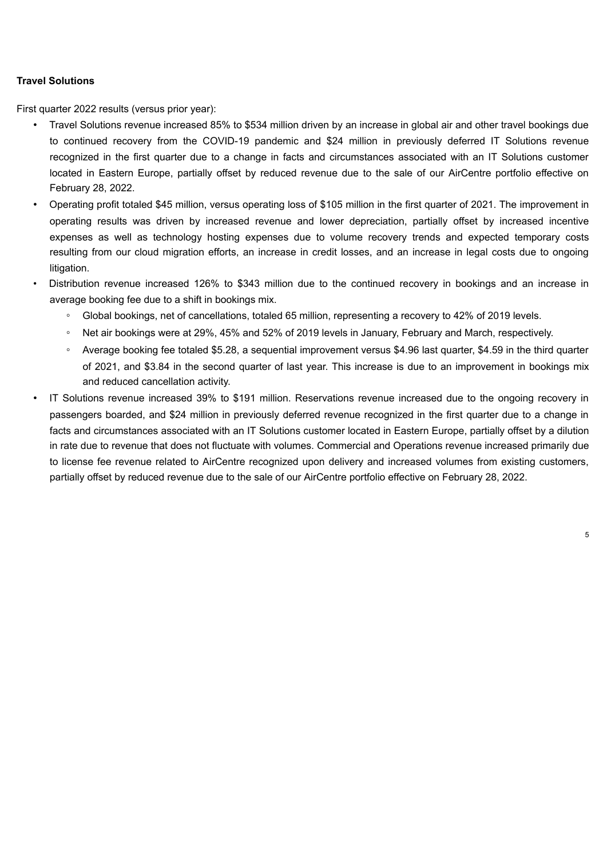#### **Travel Solutions**

First quarter 2022 results (versus prior year):

- Travel Solutions revenue increased 85% to \$534 million driven by an increase in global air and other travel bookings due to continued recovery from the COVID-19 pandemic and \$24 million in previously deferred IT Solutions revenue recognized in the first quarter due to a change in facts and circumstances associated with an IT Solutions customer located in Eastern Europe, partially offset by reduced revenue due to the sale of our AirCentre portfolio effective on February 28, 2022.
- Operating profit totaled \$45 million, versus operating loss of \$105 million in the first quarter of 2021. The improvement in operating results was driven by increased revenue and lower depreciation, partially offset by increased incentive expenses as well as technology hosting expenses due to volume recovery trends and expected temporary costs resulting from our cloud migration efforts, an increase in credit losses, and an increase in legal costs due to ongoing litigation.
- Distribution revenue increased 126% to \$343 million due to the continued recovery in bookings and an increase in average booking fee due to a shift in bookings mix.
	- Global bookings, net of cancellations, totaled 65 million, representing a recovery to 42% of 2019 levels.
	- Net air bookings were at 29%, 45% and 52% of 2019 levels in January, February and March, respectively.
	- Average booking fee totaled \$5.28, a sequential improvement versus \$4.96 last quarter, \$4.59 in the third quarter of 2021, and \$3.84 in the second quarter of last year. This increase is due to an improvement in bookings mix and reduced cancellation activity.
- IT Solutions revenue increased 39% to \$191 million. Reservations revenue increased due to the ongoing recovery in passengers boarded, and \$24 million in previously deferred revenue recognized in the first quarter due to a change in facts and circumstances associated with an IT Solutions customer located in Eastern Europe, partially offset by a dilution in rate due to revenue that does not fluctuate with volumes. Commercial and Operations revenue increased primarily due to license fee revenue related to AirCentre recognized upon delivery and increased volumes from existing customers, partially offset by reduced revenue due to the sale of our AirCentre portfolio effective on February 28, 2022.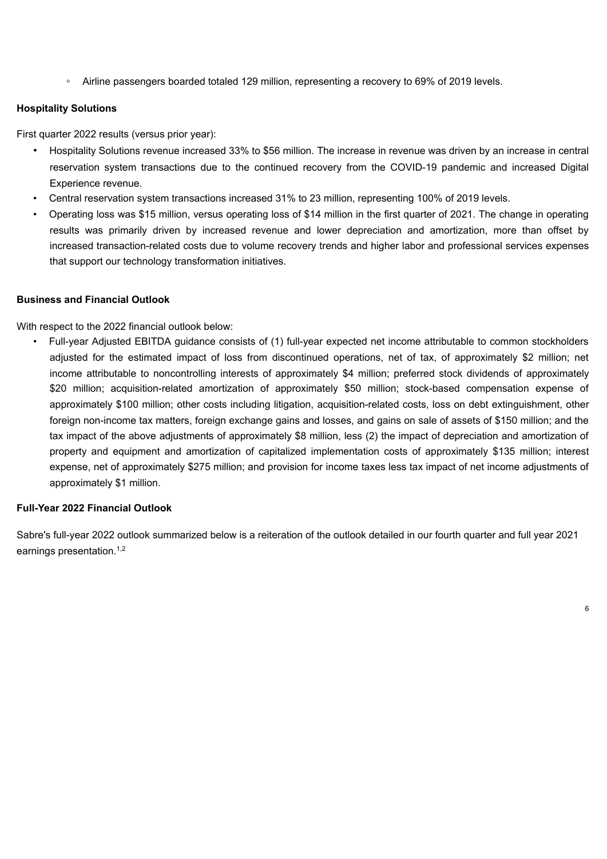◦ Airline passengers boarded totaled 129 million, representing a recovery to 69% of 2019 levels.

#### **Hospitality Solutions**

First quarter 2022 results (versus prior year):

- Hospitality Solutions revenue increased 33% to \$56 million. The increase in revenue was driven by an increase in central reservation system transactions due to the continued recovery from the COVID-19 pandemic and increased Digital Experience revenue.
- Central reservation system transactions increased 31% to 23 million, representing 100% of 2019 levels.
- Operating loss was \$15 million, versus operating loss of \$14 million in the first quarter of 2021. The change in operating results was primarily driven by increased revenue and lower depreciation and amortization, more than offset by increased transaction-related costs due to volume recovery trends and higher labor and professional services expenses that support our technology transformation initiatives.

#### **Business and Financial Outlook**

With respect to the 2022 financial outlook below:

• Full-year Adjusted EBITDA guidance consists of (1) full-year expected net income attributable to common stockholders adjusted for the estimated impact of loss from discontinued operations, net of tax, of approximately \$2 million; net income attributable to noncontrolling interests of approximately \$4 million; preferred stock dividends of approximately \$20 million; acquisition-related amortization of approximately \$50 million; stock-based compensation expense of approximately \$100 million; other costs including litigation, acquisition-related costs, loss on debt extinguishment, other foreign non-income tax matters, foreign exchange gains and losses, and gains on sale of assets of \$150 million; and the tax impact of the above adjustments of approximately \$8 million, less (2) the impact of depreciation and amortization of property and equipment and amortization of capitalized implementation costs of approximately \$135 million; interest expense, net of approximately \$275 million; and provision for income taxes less tax impact of net income adjustments of approximately \$1 million.

#### **Full-Year 2022 Financial Outlook**

Sabre's full-year 2022 outlook summarized below is a reiteration of the outlook detailed in our fourth quarter and full year 2021 earnings presentation.<sup>1,2</sup>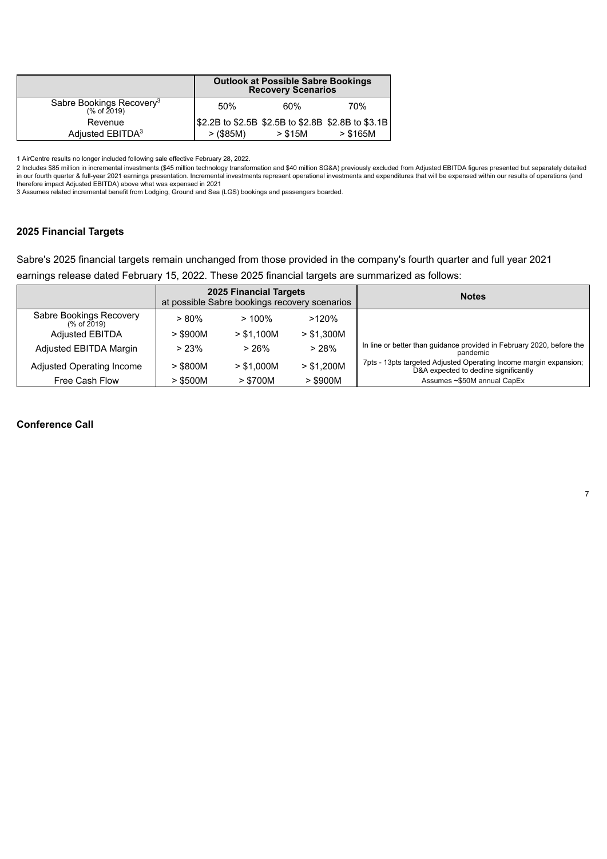|                                                     | <b>Outlook at Possible Sabre Bookings</b><br><b>Recovery Scenarios</b> |         |                                                    |  |  |
|-----------------------------------------------------|------------------------------------------------------------------------|---------|----------------------------------------------------|--|--|
| Sabre Bookings Recovery <sup>3</sup><br>(% of 2019) | 50%                                                                    | 60%     | 70%                                                |  |  |
| Revenue                                             |                                                                        |         | \$2.2B to \$2.5B \$2.5B to \$2.8B \$2.8B to \$3.1B |  |  |
| Adjusted EBITDA <sup>3</sup>                        | >(\$85M)                                                               | > \$15M | > \$165M                                           |  |  |

1 AirCentre results no longer included following sale effective February 28, 2022.

2 Includes \$85 million in incremental investments (\$45 million technology transformation and \$40 million SG&A) previously excluded from Adjusted EBITDA figures presented but separately detailed in our fourth quarter & full-year 2021 earnings presentation. Incremental investments represent operational investments and expenditures that will be expensed within our results of operations (and<br>therefore impact Adjusted

3 Assumes related incremental benefit from Lodging, Ground and Sea (LGS) bookings and passengers boarded.

#### **2025 Financial Targets**

Sabre's 2025 financial targets remain unchanged from those provided in the company's fourth quarter and full year 2021 earnings release dated February 15, 2022. These 2025 financial targets are summarized as follows:

|                                        | 2025 Financial Targets<br>at possible Sabre bookings recovery scenarios |            |            | <b>Notes</b>                                                                                               |
|----------------------------------------|-------------------------------------------------------------------------|------------|------------|------------------------------------------------------------------------------------------------------------|
| Sabre Bookings Recovery<br>(% of 2019) | $> 80\%$                                                                | $>100\%$   | $>120\%$   |                                                                                                            |
| <b>Adjusted EBITDA</b>                 | $>$ \$900M                                                              | > \$1.100M | > \$1.300M |                                                                                                            |
| Adjusted EBITDA Margin                 | > 23%                                                                   | >26%       | >28%       | In line or better than guidance provided in February 2020, before the<br>pandemic                          |
| Adjusted Operating Income              | $>$ \$800M                                                              | > \$1.000M | > \$1.200M | 7pts - 13pts targeted Adjusted Operating Income margin expansion;<br>D&A expected to decline significantly |
| Free Cash Flow                         | $>$ \$500M                                                              | > \$700M   | $>$ \$900M | Assumes ~\$50M annual CapEx                                                                                |

#### **Conference Call**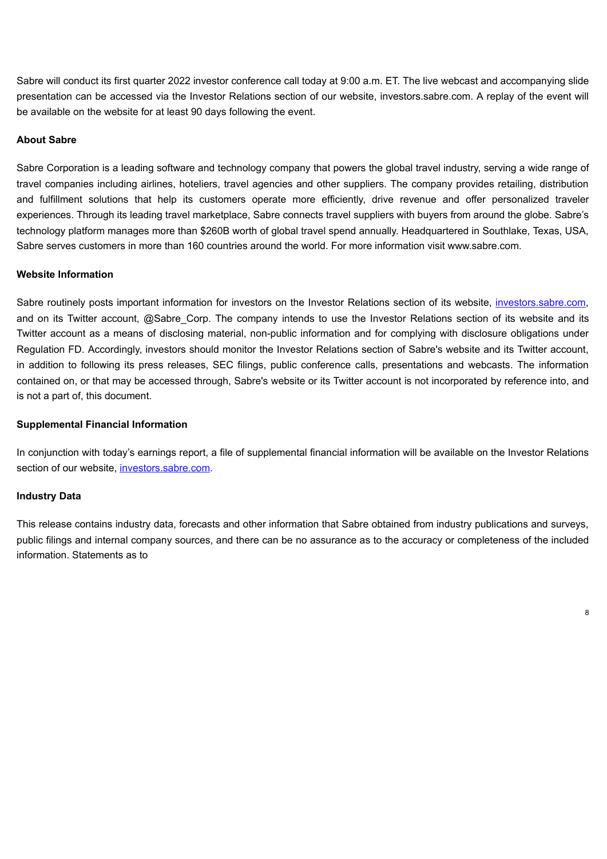Sabre will conduct its first quarter 2022 investor conference call today at 9:00 a.m. ET. The live webcast and accompanying slide presentation can be accessed via the Investor Relations section of our website, investors.sabre.com. A replay of the event will be available on the website for at least 90 days following the event.

#### **About Sabre**

Sabre Corporation is a leading software and technology company that powers the global travel industry, serving a wide range of travel companies including airlines, hoteliers, travel agencies and other suppliers. The company provides retailing, distribution and fulfillment solutions that help its customers operate more efficiently, drive revenue and offer personalized traveler experiences. Through its leading travel marketplace, Sabre connects travel suppliers with buyers from around the globe. Sabre's technology platform manages more than \$260B worth of global travel spend annually. Headquartered in Southlake, Texas, USA, Sabre serves customers in more than 160 countries around the world. For more information visit www.sabre.com.

#### **Website Information**

Sabre routinely posts important information for investors on the Investor Relations section of its website, investors.sabre.com, and on its Twitter account, @Sabre Corp. The company intends to use the Investor Relations section of its website and its Twitter account as a means of disclosing material, non-public information and for complying with disclosure obligations under Regulation FD. Accordingly, investors should monitor the Investor Relations section of Sabre's website and its Twitter account, in addition to following its press releases, SEC filings, public conference calls, presentations and webcasts. The information contained on, or that may be accessed through, Sabre's website or its Twitter account is not incorporated by reference into, and is not a part of, this document.

#### **Supplemental Financial Information**

In conjunction with today's earnings report, a file of supplemental financial information will be available on the Investor Relations section of our website, investors.sabre.com.

#### **Industry Data**

This release contains industry data, forecasts and other information that Sabre obtained from industry publications and surveys, public filings and internal company sources, and there can be no assurance as to the accuracy or completeness of the included information. Statements as to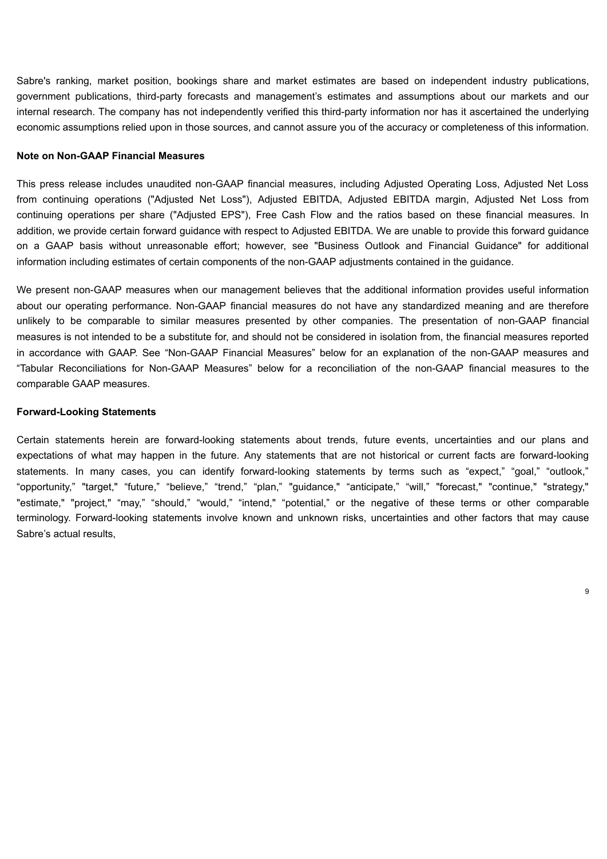Sabre's ranking, market position, bookings share and market estimates are based on independent industry publications, government publications, third-party forecasts and management's estimates and assumptions about our markets and our internal research. The company has not independently verified this third-party information nor has it ascertained the underlying economic assumptions relied upon in those sources, and cannot assure you of the accuracy or completeness of this information.

#### **Note on Non-GAAP Financial Measures**

This press release includes unaudited non-GAAP financial measures, including Adjusted Operating Loss, Adjusted Net Loss from continuing operations ("Adjusted Net Loss"), Adjusted EBITDA, Adjusted EBITDA margin, Adjusted Net Loss from continuing operations per share ("Adjusted EPS"), Free Cash Flow and the ratios based on these financial measures. In addition, we provide certain forward guidance with respect to Adjusted EBITDA. We are unable to provide this forward guidance on a GAAP basis without unreasonable effort; however, see "Business Outlook and Financial Guidance" for additional information including estimates of certain components of the non-GAAP adjustments contained in the guidance.

We present non-GAAP measures when our management believes that the additional information provides useful information about our operating performance. Non-GAAP financial measures do not have any standardized meaning and are therefore unlikely to be comparable to similar measures presented by other companies. The presentation of non-GAAP financial measures is not intended to be a substitute for, and should not be considered in isolation from, the financial measures reported in accordance with GAAP. See "Non-GAAP Financial Measures" below for an explanation of the non-GAAP measures and "Tabular Reconciliations for Non-GAAP Measures" below for a reconciliation of the non-GAAP financial measures to the comparable GAAP measures.

#### **Forward-Looking Statements**

Certain statements herein are forward-looking statements about trends, future events, uncertainties and our plans and expectations of what may happen in the future. Any statements that are not historical or current facts are forward-looking statements. In many cases, you can identify forward-looking statements by terms such as "expect," "goal," "outlook," "opportunity," "target," "future," "believe," "trend," "plan," "guidance," "anticipate," "will," "forecast," "continue," "strategy," "estimate," "project," "may," "should," "would," "intend," "potential," or the negative of these terms or other comparable terminology. Forward-looking statements involve known and unknown risks, uncertainties and other factors that may cause Sabre's actual results,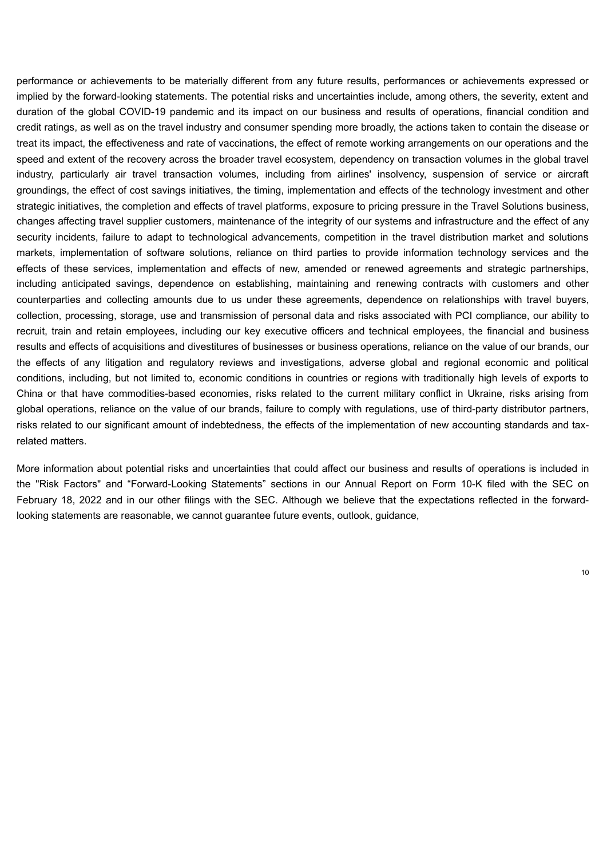performance or achievements to be materially different from any future results, performances or achievements expressed or implied by the forward-looking statements. The potential risks and uncertainties include, among others, the severity, extent and duration of the global COVID-19 pandemic and its impact on our business and results of operations, financial condition and credit ratings, as well as on the travel industry and consumer spending more broadly, the actions taken to contain the disease or treat its impact, the effectiveness and rate of vaccinations, the effect of remote working arrangements on our operations and the speed and extent of the recovery across the broader travel ecosystem, dependency on transaction volumes in the global travel industry, particularly air travel transaction volumes, including from airlines' insolvency, suspension of service or aircraft groundings, the effect of cost savings initiatives, the timing, implementation and effects of the technology investment and other strategic initiatives, the completion and effects of travel platforms, exposure to pricing pressure in the Travel Solutions business, changes affecting travel supplier customers, maintenance of the integrity of our systems and infrastructure and the effect of any security incidents, failure to adapt to technological advancements, competition in the travel distribution market and solutions markets, implementation of software solutions, reliance on third parties to provide information technology services and the effects of these services, implementation and effects of new, amended or renewed agreements and strategic partnerships, including anticipated savings, dependence on establishing, maintaining and renewing contracts with customers and other counterparties and collecting amounts due to us under these agreements, dependence on relationships with travel buyers, collection, processing, storage, use and transmission of personal data and risks associated with PCI compliance, our ability to recruit, train and retain employees, including our key executive officers and technical employees, the financial and business results and effects of acquisitions and divestitures of businesses or business operations, reliance on the value of our brands, our the effects of any litigation and regulatory reviews and investigations, adverse global and regional economic and political conditions, including, but not limited to, economic conditions in countries or regions with traditionally high levels of exports to China or that have commodities-based economies, risks related to the current military conflict in Ukraine, risks arising from global operations, reliance on the value of our brands, failure to comply with regulations, use of third-party distributor partners, risks related to our significant amount of indebtedness, the effects of the implementation of new accounting standards and taxrelated matters.

More information about potential risks and uncertainties that could affect our business and results of operations is included in the "Risk Factors" and "Forward-Looking Statements" sections in our Annual Report on Form 10-K filed with the SEC on February 18, 2022 and in our other filings with the SEC. Although we believe that the expectations reflected in the forwardlooking statements are reasonable, we cannot guarantee future events, outlook, guidance,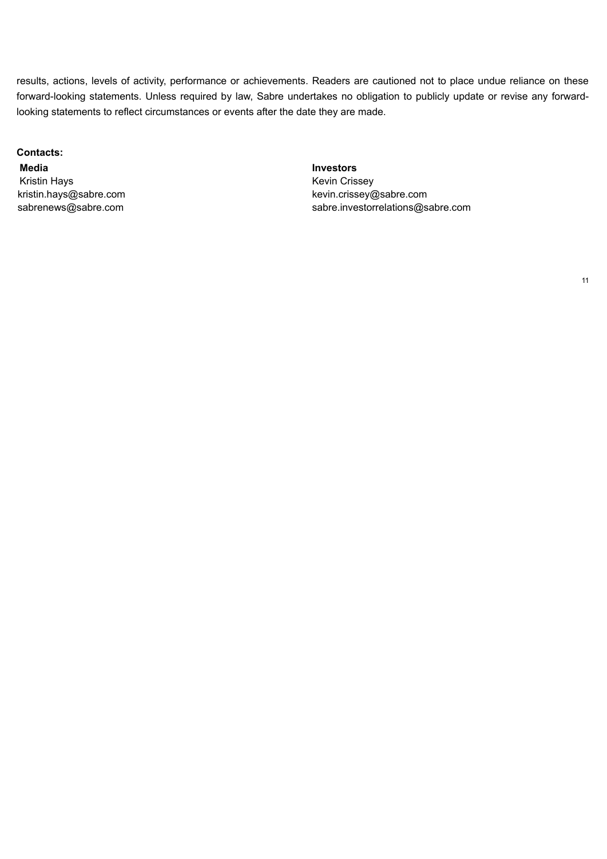results, actions, levels of activity, performance or achievements. Readers are cautioned not to place undue reliance on these forward-looking statements. Unless required by law, Sabre undertakes no obligation to publicly update or revise any forwardlooking statements to reflect circumstances or events after the date they are made.

#### **Contacts:**

**Media Investors** Kristin Hays **Keys** Kevin Crissey

kristin.hays@sabre.com example and the vincissey@sabre.com sabrenews@sabre.com sabre.investorrelations@sabre.com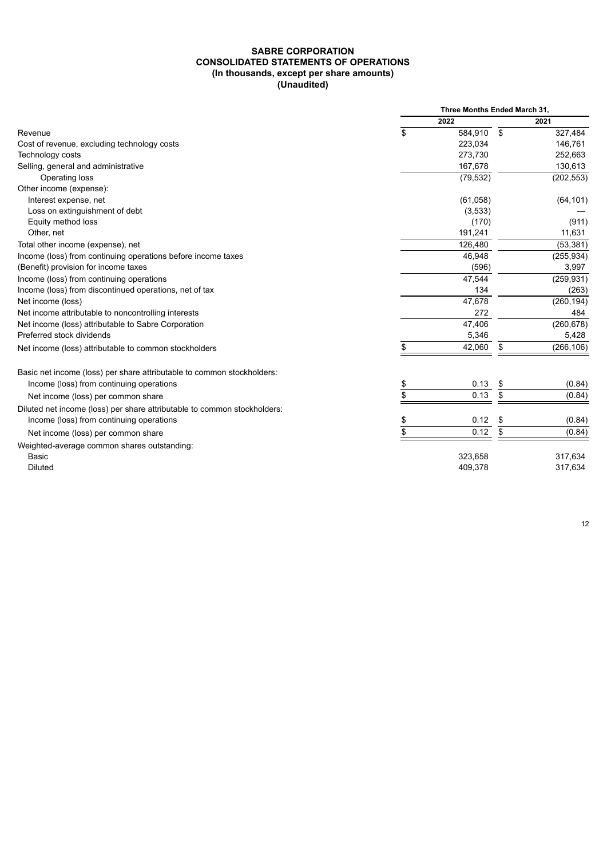#### **SABRE CORPORATION CONSOLIDATED STATEMENTS OF OPERATIONS (In thousands, except per share amounts) (Unaudited)**

|                                                                          | Three Months Ended March 31, |            |    |            |
|--------------------------------------------------------------------------|------------------------------|------------|----|------------|
|                                                                          |                              | 2022       |    | 2021       |
| Revenue                                                                  | \$                           | 584,910 \$ |    | 327,484    |
| Cost of revenue, excluding technology costs                              |                              | 223,034    |    | 146,761    |
| Technology costs                                                         |                              | 273,730    |    | 252,663    |
| Selling, general and administrative                                      |                              | 167,678    |    | 130,613    |
| Operating loss                                                           |                              | (79, 532)  |    | (202, 553) |
| Other income (expense):                                                  |                              |            |    |            |
| Interest expense, net                                                    |                              | (61,058)   |    | (64, 101)  |
| Loss on extinguishment of debt                                           |                              | (3,533)    |    |            |
| Equity method loss                                                       |                              | (170)      |    | (911)      |
| Other, net                                                               |                              | 191,241    |    | 11,631     |
| Total other income (expense), net                                        |                              | 126,480    |    | (53, 381)  |
| Income (loss) from continuing operations before income taxes             |                              | 46,948     |    | (255, 934) |
| (Benefit) provision for income taxes                                     |                              | (596)      |    | 3,997      |
| Income (loss) from continuing operations                                 |                              | 47,544     |    | (259, 931) |
| Income (loss) from discontinued operations, net of tax                   |                              | 134        |    | (263)      |
| Net income (loss)                                                        |                              | 47,678     |    | (260, 194) |
| Net income attributable to noncontrolling interests                      |                              | 272        |    | 484        |
| Net income (loss) attributable to Sabre Corporation                      |                              | 47,406     |    | (260, 678) |
| Preferred stock dividends                                                |                              | 5,346      |    | 5,428      |
| Net income (loss) attributable to common stockholders                    |                              | 42,060     | \$ | (266, 106) |
| Basic net income (loss) per share attributable to common stockholders:   |                              |            |    |            |
| Income (loss) from continuing operations                                 | \$                           | 0.13       | \$ | (0.84)     |
| Net income (loss) per common share                                       | \$                           | 0.13       | \$ | (0.84)     |
| Diluted net income (loss) per share attributable to common stockholders: |                              |            |    |            |
| Income (loss) from continuing operations                                 | \$                           | 0.12       | \$ | (0.84)     |
| Net income (loss) per common share                                       | \$                           | 0.12       | \$ | (0.84)     |
| Weighted-average common shares outstanding:                              |                              |            |    |            |
| <b>Basic</b>                                                             |                              | 323,658    |    | 317,634    |
| <b>Diluted</b>                                                           |                              | 409,378    |    | 317,634    |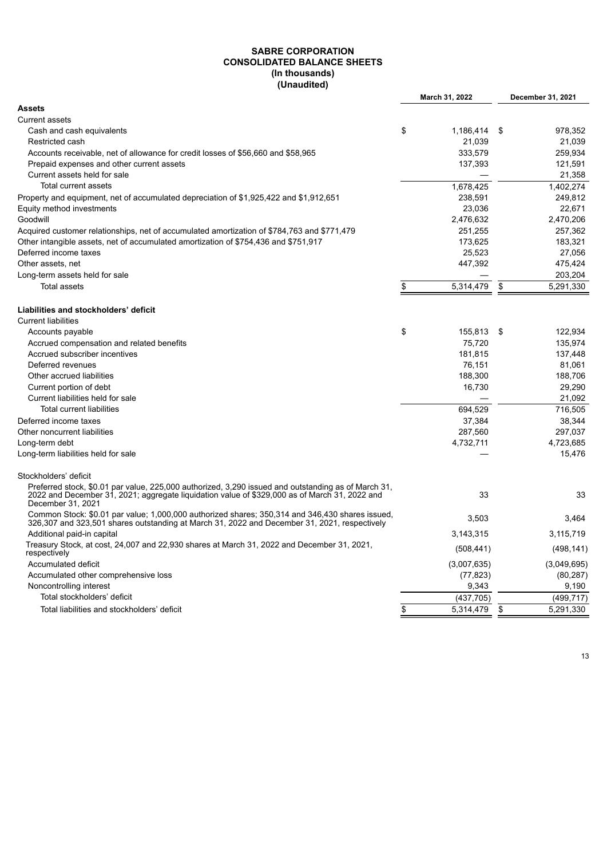#### **SABRE CORPORATION CONSOLIDATED BALANCE SHEETS (In thousands) (Unaudited)**

|                                                                                                                                                                                                                           | March 31, 2022  |     | December 31, 2021 |
|---------------------------------------------------------------------------------------------------------------------------------------------------------------------------------------------------------------------------|-----------------|-----|-------------------|
| <b>Assets</b>                                                                                                                                                                                                             |                 |     |                   |
| <b>Current assets</b>                                                                                                                                                                                                     |                 |     |                   |
| Cash and cash equivalents                                                                                                                                                                                                 | \$<br>1,186,414 | -\$ | 978.352           |
| Restricted cash                                                                                                                                                                                                           | 21,039          |     | 21.039            |
| Accounts receivable, net of allowance for credit losses of \$56,660 and \$58,965                                                                                                                                          | 333.579         |     | 259.934           |
| Prepaid expenses and other current assets                                                                                                                                                                                 | 137,393         |     | 121,591           |
| Current assets held for sale                                                                                                                                                                                              |                 |     | 21,358            |
| Total current assets                                                                                                                                                                                                      | 1,678,425       |     | 1,402,274         |
| Property and equipment, net of accumulated depreciation of \$1,925,422 and \$1,912,651                                                                                                                                    | 238,591         |     | 249,812           |
| Equity method investments                                                                                                                                                                                                 | 23,036          |     | 22,671            |
| Goodwill                                                                                                                                                                                                                  | 2,476,632       |     | 2,470,206         |
| Acquired customer relationships, net of accumulated amortization of \$784,763 and \$771,479                                                                                                                               | 251,255         |     | 257,362           |
| Other intangible assets, net of accumulated amortization of \$754,436 and \$751,917                                                                                                                                       | 173,625         |     | 183,321           |
| Deferred income taxes                                                                                                                                                                                                     | 25,523          |     | 27,056            |
| Other assets, net                                                                                                                                                                                                         | 447,392         |     | 475,424           |
| Long-term assets held for sale                                                                                                                                                                                            |                 |     | 203,204           |
| <b>Total assets</b>                                                                                                                                                                                                       | \$<br>5,314,479 | \$  | 5,291,330         |
| Liabilities and stockholders' deficit                                                                                                                                                                                     |                 |     |                   |
| <b>Current liabilities</b>                                                                                                                                                                                                |                 |     |                   |
|                                                                                                                                                                                                                           |                 |     |                   |
| Accounts payable                                                                                                                                                                                                          | \$<br>155,813   | \$  | 122,934           |
| Accrued compensation and related benefits                                                                                                                                                                                 | 75,720          |     | 135,974           |
| Accrued subscriber incentives                                                                                                                                                                                             | 181.815         |     | 137.448           |
| Deferred revenues                                                                                                                                                                                                         | 76,151          |     | 81,061            |
| Other accrued liabilities                                                                                                                                                                                                 | 188,300         |     | 188,706           |
| Current portion of debt                                                                                                                                                                                                   | 16,730          |     | 29,290            |
| Current liabilities held for sale                                                                                                                                                                                         |                 |     | 21,092            |
| <b>Total current liabilities</b>                                                                                                                                                                                          | 694,529         |     | 716,505           |
| Deferred income taxes                                                                                                                                                                                                     | 37,384          |     | 38,344            |
| Other noncurrent liabilities                                                                                                                                                                                              | 287,560         |     | 297,037           |
| Long-term debt                                                                                                                                                                                                            | 4,732,711       |     | 4,723,685         |
| Long-term liabilities held for sale                                                                                                                                                                                       |                 |     | 15,476            |
| Stockholders' deficit                                                                                                                                                                                                     |                 |     |                   |
| Preferred stock, \$0.01 par value, 225,000 authorized, 3,290 issued and outstanding as of March 31,<br>2022 and December 31, 2021; aggregate liquidation value of \$329,000 as of March 31, 2022 and<br>December 31, 2021 | 33              |     | 33                |
| Common Stock: \$0.01 par value; 1,000,000 authorized shares; 350,314 and 346,430 shares issued,<br>326,307 and 323,501 shares outstanding at March 31, 2022 and December 31, 2021, respectively                           | 3.503           |     | 3.464             |
| Additional paid-in capital                                                                                                                                                                                                | 3,143,315       |     | 3,115,719         |
| Treasury Stock, at cost, 24,007 and 22,930 shares at March 31, 2022 and December 31, 2021,<br>respectively                                                                                                                | (508, 441)      |     | (498, 141)        |
| Accumulated deficit                                                                                                                                                                                                       | (3,007,635)     |     | (3,049,695)       |
| Accumulated other comprehensive loss                                                                                                                                                                                      | (77, 823)       |     | (80, 287)         |
| Noncontrolling interest                                                                                                                                                                                                   | 9,343           |     | 9,190             |
| Total stockholders' deficit                                                                                                                                                                                               | (437,705)       |     | (499, 717)        |
| Total liabilities and stockholders' deficit                                                                                                                                                                               | \$<br>5,314,479 | \$  | 5.291.330         |
|                                                                                                                                                                                                                           |                 |     |                   |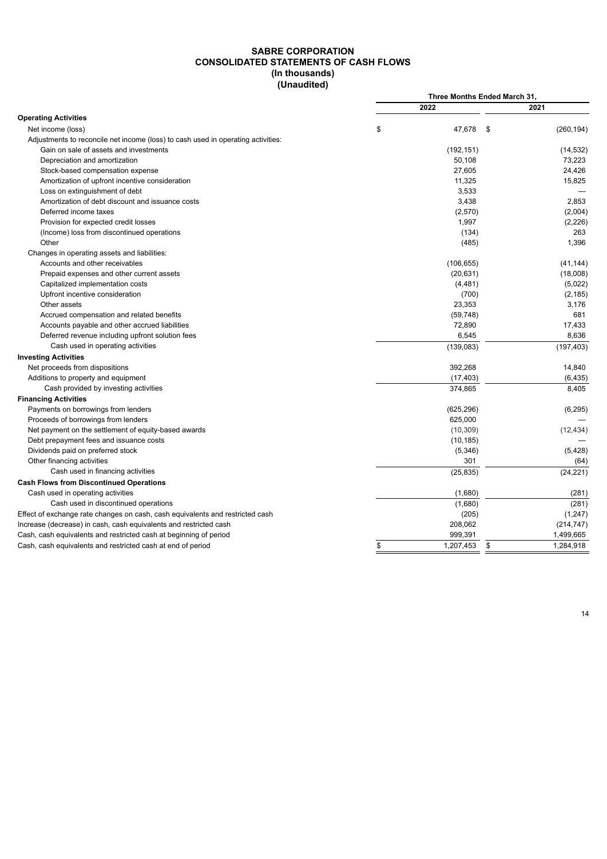#### **SABRE CORPORATION CONSOLIDATED STATEMENTS OF CASH FLOWS (In thousands) (Unaudited)**

|                                                                                  | Three Months Ended March 31, |            |      |            |
|----------------------------------------------------------------------------------|------------------------------|------------|------|------------|
|                                                                                  |                              | 2022       |      | 2021       |
| <b>Operating Activities</b>                                                      |                              |            |      |            |
| Net income (loss)                                                                | \$                           | 47.678     | - \$ | (260, 194) |
| Adjustments to reconcile net income (loss) to cash used in operating activities: |                              |            |      |            |
| Gain on sale of assets and investments                                           |                              | (192, 151) |      | (14, 532)  |
| Depreciation and amortization                                                    |                              | 50.108     |      | 73,223     |
| Stock-based compensation expense                                                 |                              | 27,605     |      | 24,426     |
| Amortization of upfront incentive consideration                                  |                              | 11,325     |      | 15,825     |
| Loss on extinguishment of debt                                                   |                              | 3,533      |      |            |
| Amortization of debt discount and issuance costs                                 |                              | 3,438      |      | 2,853      |
| Deferred income taxes                                                            |                              | (2,570)    |      | (2,004)    |
| Provision for expected credit losses                                             |                              | 1,997      |      | (2,226)    |
| (Income) loss from discontinued operations                                       |                              | (134)      |      | 263        |
| Other                                                                            |                              | (485)      |      | 1,396      |
| Changes in operating assets and liabilities:                                     |                              |            |      |            |
| Accounts and other receivables                                                   |                              | (106, 655) |      | (41, 144)  |
| Prepaid expenses and other current assets                                        |                              | (20, 631)  |      | (18,008)   |
| Capitalized implementation costs                                                 |                              | (4, 481)   |      | (5,022)    |
| Upfront incentive consideration                                                  |                              | (700)      |      | (2, 185)   |
| Other assets                                                                     |                              | 23,353     |      | 3,176      |
| Accrued compensation and related benefits                                        |                              | (59, 748)  |      | 681        |
| Accounts payable and other accrued liabilities                                   |                              | 72,890     |      | 17,433     |
| Deferred revenue including upfront solution fees                                 |                              | 6,545      |      | 8,636      |
| Cash used in operating activities                                                |                              | (139, 083) |      | (197, 403) |
| <b>Investing Activities</b>                                                      |                              |            |      |            |
| Net proceeds from dispositions                                                   |                              | 392,268    |      | 14,840     |
| Additions to property and equipment                                              |                              | (17, 403)  |      | (6, 435)   |
| Cash provided by investing activities                                            |                              | 374,865    |      | 8,405      |
| <b>Financing Activities</b>                                                      |                              |            |      |            |
| Payments on borrowings from lenders                                              |                              | (625, 296) |      | (6, 295)   |
| Proceeds of borrowings from lenders                                              |                              | 625,000    |      |            |
| Net payment on the settlement of equity-based awards                             |                              | (10, 309)  |      | (12, 434)  |
| Debt prepayment fees and issuance costs                                          |                              | (10, 185)  |      |            |
| Dividends paid on preferred stock                                                |                              | (5,346)    |      | (5, 428)   |
| Other financing activities                                                       |                              | 301        |      | (64)       |
| Cash used in financing activities                                                |                              | (25, 835)  |      | (24, 221)  |
| <b>Cash Flows from Discontinued Operations</b>                                   |                              |            |      |            |
| Cash used in operating activities                                                |                              | (1,680)    |      | (281)      |
| Cash used in discontinued operations                                             |                              | (1,680)    |      | (281)      |
| Effect of exchange rate changes on cash, cash equivalents and restricted cash    |                              | (205)      |      | (1,247)    |
| Increase (decrease) in cash, cash equivalents and restricted cash                |                              | 208,062    |      | (214, 747) |
| Cash, cash equivalents and restricted cash at beginning of period                |                              | 999,391    |      | 1,499,665  |
| Cash, cash equivalents and restricted cash at end of period                      | \$                           | 1,207,453  | \$   | 1,284,918  |
|                                                                                  |                              |            |      |            |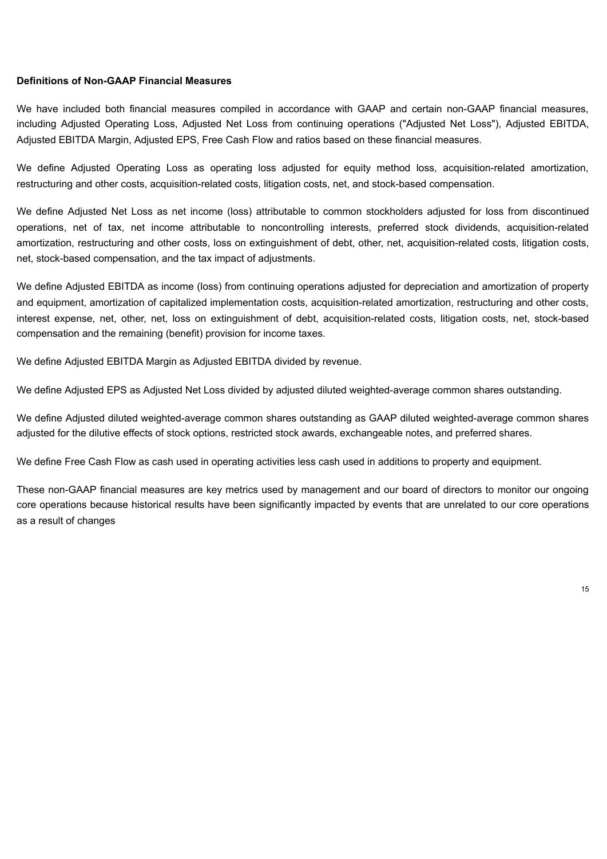#### **Definitions of Non-GAAP Financial Measures**

We have included both financial measures compiled in accordance with GAAP and certain non-GAAP financial measures, including Adjusted Operating Loss, Adjusted Net Loss from continuing operations ("Adjusted Net Loss"), Adjusted EBITDA, Adjusted EBITDA Margin, Adjusted EPS, Free Cash Flow and ratios based on these financial measures.

We define Adjusted Operating Loss as operating loss adjusted for equity method loss, acquisition-related amortization, restructuring and other costs, acquisition-related costs, litigation costs, net, and stock-based compensation.

We define Adjusted Net Loss as net income (loss) attributable to common stockholders adjusted for loss from discontinued operations, net of tax, net income attributable to noncontrolling interests, preferred stock dividends, acquisition-related amortization, restructuring and other costs, loss on extinguishment of debt, other, net, acquisition-related costs, litigation costs, net, stock-based compensation, and the tax impact of adjustments.

We define Adjusted EBITDA as income (loss) from continuing operations adjusted for depreciation and amortization of property and equipment, amortization of capitalized implementation costs, acquisition-related amortization, restructuring and other costs, interest expense, net, other, net, loss on extinguishment of debt, acquisition-related costs, litigation costs, net, stock-based compensation and the remaining (benefit) provision for income taxes.

We define Adjusted EBITDA Margin as Adjusted EBITDA divided by revenue.

We define Adjusted EPS as Adjusted Net Loss divided by adjusted diluted weighted-average common shares outstanding.

We define Adjusted diluted weighted-average common shares outstanding as GAAP diluted weighted-average common shares adjusted for the dilutive effects of stock options, restricted stock awards, exchangeable notes, and preferred shares.

We define Free Cash Flow as cash used in operating activities less cash used in additions to property and equipment.

These non-GAAP financial measures are key metrics used by management and our board of directors to monitor our ongoing core operations because historical results have been significantly impacted by events that are unrelated to our core operations as a result of changes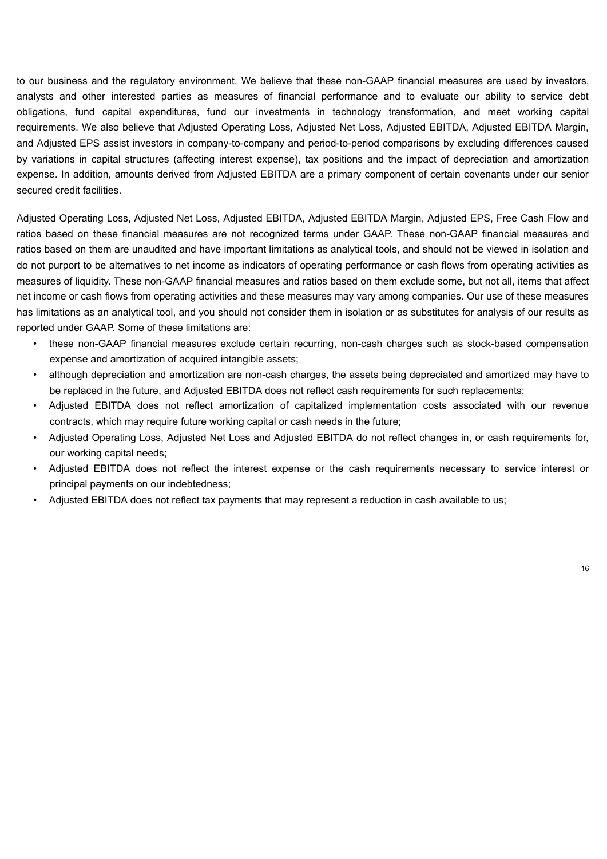to our business and the regulatory environment. We believe that these non-GAAP financial measures are used by investors, analysts and other interested parties as measures of financial performance and to evaluate our ability to service debt obligations, fund capital expenditures, fund our investments in technology transformation, and meet working capital requirements. We also believe that Adjusted Operating Loss, Adjusted Net Loss, Adjusted EBITDA, Adjusted EBITDA Margin, and Adjusted EPS assist investors in company-to-company and period-to-period comparisons by excluding differences caused by variations in capital structures (affecting interest expense), tax positions and the impact of depreciation and amortization expense. In addition, amounts derived from Adjusted EBITDA are a primary component of certain covenants under our senior secured credit facilities.

Adjusted Operating Loss, Adjusted Net Loss, Adjusted EBITDA, Adjusted EBITDA Margin, Adjusted EPS, Free Cash Flow and ratios based on these financial measures are not recognized terms under GAAP. These non-GAAP financial measures and ratios based on them are unaudited and have important limitations as analytical tools, and should not be viewed in isolation and do not purport to be alternatives to net income as indicators of operating performance or cash flows from operating activities as measures of liquidity. These non-GAAP financial measures and ratios based on them exclude some, but not all, items that affect net income or cash flows from operating activities and these measures may vary among companies. Our use of these measures has limitations as an analytical tool, and you should not consider them in isolation or as substitutes for analysis of our results as reported under GAAP. Some of these limitations are:

- these non-GAAP financial measures exclude certain recurring, non-cash charges such as stock-based compensation expense and amortization of acquired intangible assets;
- although depreciation and amortization are non-cash charges, the assets being depreciated and amortized may have to be replaced in the future, and Adjusted EBITDA does not reflect cash requirements for such replacements;
- Adjusted EBITDA does not reflect amortization of capitalized implementation costs associated with our revenue contracts, which may require future working capital or cash needs in the future;
- Adjusted Operating Loss, Adjusted Net Loss and Adjusted EBITDA do not reflect changes in, or cash requirements for, our working capital needs;
- Adjusted EBITDA does not reflect the interest expense or the cash requirements necessary to service interest or principal payments on our indebtedness;
- Adjusted EBITDA does not reflect tax payments that may represent a reduction in cash available to us;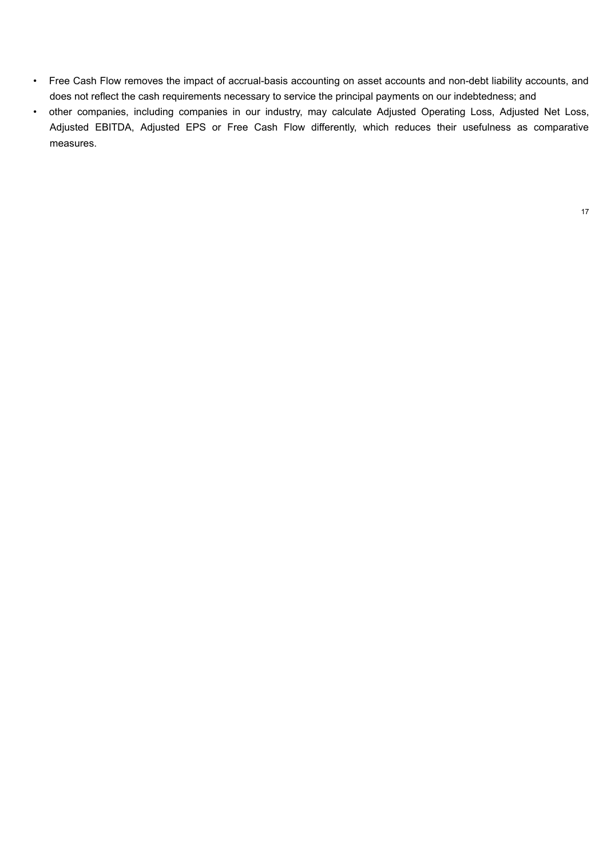- Free Cash Flow removes the impact of accrual-basis accounting on asset accounts and non-debt liability accounts, and does not reflect the cash requirements necessary to service the principal payments on our indebtedness; and
- other companies, including companies in our industry, may calculate Adjusted Operating Loss, Adjusted Net Loss, Adjusted EBITDA, Adjusted EPS or Free Cash Flow differently, which reduces their usefulness as comparative measures.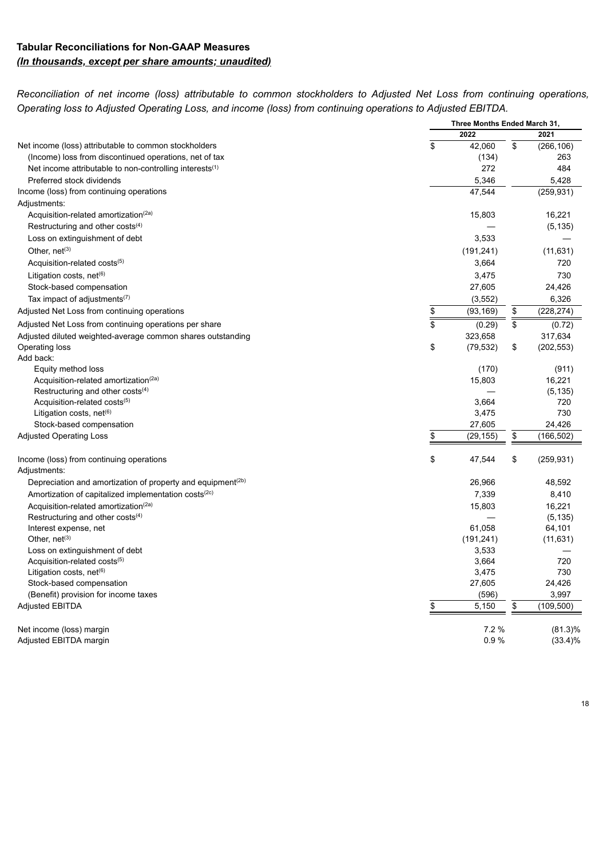### **Tabular Reconciliations for Non-GAAP Measures** *(In thousands, except per share amounts; unaudited)*

Reconciliation of net income (loss) attributable to common stockholders to Adjusted Net Loss from continuing operations, *Operating loss to Adjusted Operating Loss, and income (loss) from continuing operations to Adjusted EBITDA.*

|                                                                               | Three Months Ended March 31, |                   |    |                   |
|-------------------------------------------------------------------------------|------------------------------|-------------------|----|-------------------|
|                                                                               | 2022                         |                   |    | 2021              |
| Net income (loss) attributable to common stockholders                         | \$                           | 42,060            | \$ | (266, 106)        |
| (Income) loss from discontinued operations, net of tax                        |                              | (134)             |    | 263               |
| Net income attributable to non-controlling interests $(1)$                    |                              | 272               |    | 484               |
| Preferred stock dividends                                                     |                              | 5,346             |    | 5,428             |
| Income (loss) from continuing operations                                      |                              | 47,544            |    | (259, 931)        |
| Adjustments:                                                                  |                              |                   |    |                   |
| Acquisition-related amortization <sup>(2a)</sup>                              |                              | 15,803            |    | 16,221            |
| Restructuring and other costs $(4)$                                           |                              |                   |    | (5, 135)          |
| Loss on extinguishment of debt                                                |                              | 3,533             |    |                   |
| Other, net <sup>(3)</sup>                                                     |                              | (191, 241)        |    | (11, 631)         |
| Acquisition-related costs <sup>(5)</sup>                                      |                              | 3,664             |    | 720               |
| Litigation costs, net <sup>(6)</sup>                                          |                              | 3,475             |    | 730               |
| Stock-based compensation                                                      |                              | 27,605            |    | 24,426            |
| Tax impact of adjustments <sup>(7)</sup>                                      |                              | (3, 552)          |    | 6,326             |
| Adjusted Net Loss from continuing operations                                  | \$                           | (93, 169)         | \$ | (228, 274)        |
| Adjusted Net Loss from continuing operations per share                        | \$                           |                   | \$ |                   |
|                                                                               |                              | (0.29)<br>323,658 |    | (0.72)<br>317,634 |
| Adjusted diluted weighted-average common shares outstanding<br>Operating loss | \$                           | (79, 532)         | \$ | (202, 553)        |
| Add back:                                                                     |                              |                   |    |                   |
| Equity method loss                                                            |                              | (170)             |    | (911)             |
| Acquisition-related amortization <sup>(2a)</sup>                              |                              | 15,803            |    | 16,221            |
| Restructuring and other costs $(4)$                                           |                              |                   |    | (5, 135)          |
| Acquisition-related costs <sup>(5)</sup>                                      |                              | 3,664             |    | 720               |
| Litigation costs, net <sup>(6)</sup>                                          |                              | 3,475             |    | 730               |
| Stock-based compensation                                                      |                              | 27,605            |    | 24,426            |
| <b>Adjusted Operating Loss</b>                                                | \$                           | (29, 155)         | \$ | (166, 502)        |
|                                                                               | \$                           | 47,544            | \$ | (259, 931)        |
| Income (loss) from continuing operations<br>Adjustments:                      |                              |                   |    |                   |
| Depreciation and amortization of property and equipment $(2b)$                |                              | 26,966            |    | 48,592            |
| Amortization of capitalized implementation costs <sup>(2c)</sup>              |                              | 7,339             |    | 8,410             |
| Acquisition-related amortization <sup>(2a)</sup>                              |                              | 15,803            |    | 16,221            |
| Restructuring and other costs $(4)$                                           |                              |                   |    | (5, 135)          |
| Interest expense, net                                                         |                              | 61,058            |    | 64,101            |
| Other, net <sup>(3)</sup>                                                     |                              | (191, 241)        |    | (11, 631)         |
| Loss on extinguishment of debt                                                |                              | 3,533             |    |                   |
| Acquisition-related costs(5)                                                  |                              | 3,664             |    | 720               |
| Litigation costs, net <sup>(6)</sup>                                          |                              | 3,475             |    | 730               |
| Stock-based compensation                                                      |                              | 27,605            |    | 24,426            |
| (Benefit) provision for income taxes                                          |                              | (596)             |    | 3,997             |
| <b>Adjusted EBITDA</b>                                                        | \$                           | 5,150             | \$ | (109, 500)        |
| Net income (loss) margin                                                      |                              | 7.2%              |    | $(81.3)\%$        |
| Adjusted EBITDA margin                                                        |                              | 0.9%              |    | (33.4)%           |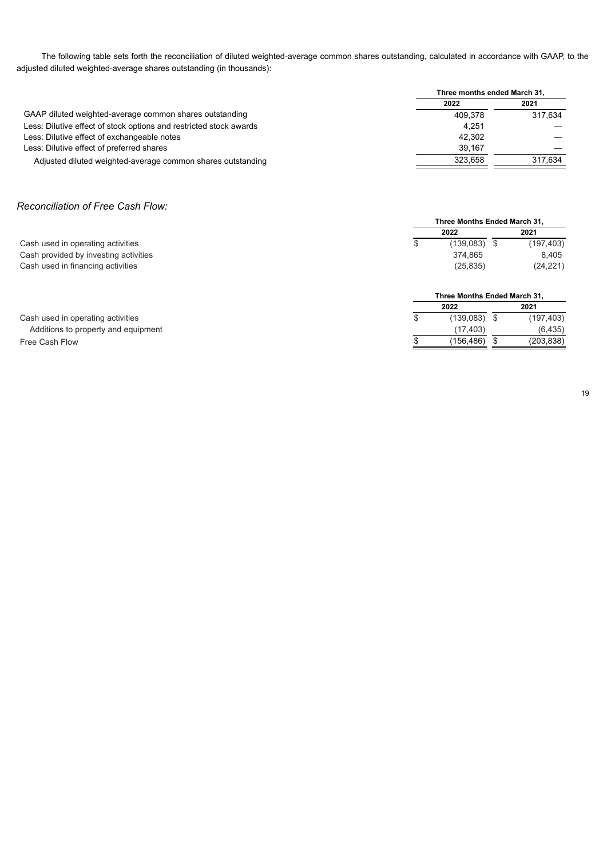The following table sets forth the reconciliation of diluted weighted-average common shares outstanding, calculated in accordance with GAAP, to the adjusted diluted weighted-average shares outstanding (in thousands):

|                                                                    | Three months ended March 31, |         |  |
|--------------------------------------------------------------------|------------------------------|---------|--|
|                                                                    | 2022                         | 2021    |  |
| GAAP diluted weighted-average common shares outstanding            | 409.378                      | 317.634 |  |
| Less: Dilutive effect of stock options and restricted stock awards | 4.251                        |         |  |
| Less: Dilutive effect of exchangeable notes                        | 42.302                       |         |  |
| Less: Dilutive effect of preferred shares                          | 39.167                       |         |  |
| Adjusted diluted weighted-average common shares outstanding        | 323.658                      | 317.634 |  |
|                                                                    |                              |         |  |

#### *Reconciliation of Free Cash Flow:*

|                                       | Three Months Ended March 31. |                              |      |            |  |  |  |  |  |
|---------------------------------------|------------------------------|------------------------------|------|------------|--|--|--|--|--|
|                                       |                              | 2022                         | 2021 |            |  |  |  |  |  |
| Cash used in operating activities     | \$                           | $(139,083)$ \$               |      | (197, 403) |  |  |  |  |  |
| Cash provided by investing activities |                              | 374.865                      |      | 8,405      |  |  |  |  |  |
| Cash used in financing activities     |                              | (25, 835)                    |      | (24, 221)  |  |  |  |  |  |
|                                       |                              | Three Months Ended March 31. |      |            |  |  |  |  |  |
|                                       |                              | 2022                         | 2021 |            |  |  |  |  |  |
| Cash used in operating activities     | S                            | $(139,083)$ \$               |      | (197, 403) |  |  |  |  |  |
| Additions to property and equipment   |                              | (17,403)                     |      | (6, 435)   |  |  |  |  |  |
| Free Cash Flow                        |                              | (156,486) \$                 |      | (203, 838) |  |  |  |  |  |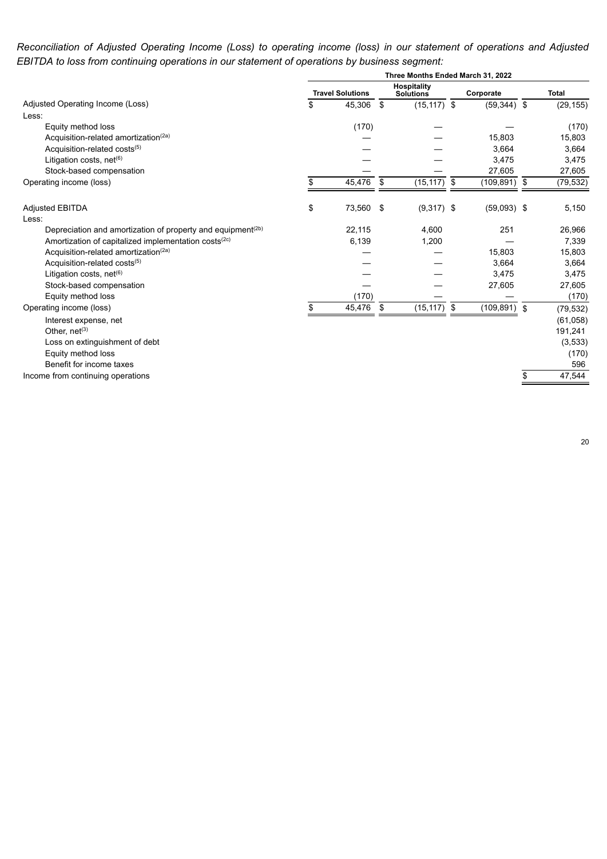Reconciliation of Adjusted Operating Income (Loss) to operating income (loss) in our statement of operations and Adjusted *EBITDA to loss from continuing operations in our statement of operations by business segment:*

| Hospitality<br><b>Travel Solutions</b><br><b>Total</b><br>Corporate<br><b>Solutions</b><br>Adjusted Operating Income (Loss)<br>\$<br>45,306<br>$(15, 117)$ \$<br>$(59,344)$ \$<br>- \$<br>Less:<br>(170)<br>Equity method loss<br>Acquisition-related amortization <sup>(2a)</sup><br>15,803<br>Acquisition-related costs(5)<br>3,664<br>Litigation costs, net <sup>(6)</sup><br>3,475<br>Stock-based compensation<br>27,605<br>45,476<br>(15, 117)<br>$(109, 891)$ \$<br>Operating income (loss)<br>\$<br>\$<br>-\$<br>\$<br>73,560<br>$(9,317)$ \$<br>$(59,093)$ \$<br>\$<br><b>Adjusted EBITDA</b><br>Less:<br>251<br>Depreciation and amortization of property and equipment <sup>(2b)</sup><br>22,115<br>4.600<br>Amortization of capitalized implementation costs <sup>(2c)</sup><br>6,139<br>1,200<br>Acquisition-related amortization <sup>(2a)</sup><br>15,803<br>Acquisition-related costs(5)<br>3,664<br>Litigation costs, net <sup>(6)</sup><br>3,475<br>Stock-based compensation<br>27,605<br>(170)<br>Equity method loss<br>45,476<br>\$<br>(15, 117)<br>$(109, 891)$ \$<br>Operating income (loss)<br>\$<br>\$<br>Interest expense, net<br>Other, net <sup>(3)</sup><br>Loss on extinguishment of debt<br>Equity method loss<br>Benefit for income taxes |                                   | Three Months Ended March 31, 2022 |  |  |  |  |   |           |
|-------------------------------------------------------------------------------------------------------------------------------------------------------------------------------------------------------------------------------------------------------------------------------------------------------------------------------------------------------------------------------------------------------------------------------------------------------------------------------------------------------------------------------------------------------------------------------------------------------------------------------------------------------------------------------------------------------------------------------------------------------------------------------------------------------------------------------------------------------------------------------------------------------------------------------------------------------------------------------------------------------------------------------------------------------------------------------------------------------------------------------------------------------------------------------------------------------------------------------------------------------------------------|-----------------------------------|-----------------------------------|--|--|--|--|---|-----------|
|                                                                                                                                                                                                                                                                                                                                                                                                                                                                                                                                                                                                                                                                                                                                                                                                                                                                                                                                                                                                                                                                                                                                                                                                                                                                         |                                   |                                   |  |  |  |  |   |           |
|                                                                                                                                                                                                                                                                                                                                                                                                                                                                                                                                                                                                                                                                                                                                                                                                                                                                                                                                                                                                                                                                                                                                                                                                                                                                         |                                   |                                   |  |  |  |  |   | (29, 155) |
|                                                                                                                                                                                                                                                                                                                                                                                                                                                                                                                                                                                                                                                                                                                                                                                                                                                                                                                                                                                                                                                                                                                                                                                                                                                                         |                                   |                                   |  |  |  |  |   |           |
|                                                                                                                                                                                                                                                                                                                                                                                                                                                                                                                                                                                                                                                                                                                                                                                                                                                                                                                                                                                                                                                                                                                                                                                                                                                                         |                                   |                                   |  |  |  |  |   | (170)     |
|                                                                                                                                                                                                                                                                                                                                                                                                                                                                                                                                                                                                                                                                                                                                                                                                                                                                                                                                                                                                                                                                                                                                                                                                                                                                         |                                   |                                   |  |  |  |  |   | 15,803    |
|                                                                                                                                                                                                                                                                                                                                                                                                                                                                                                                                                                                                                                                                                                                                                                                                                                                                                                                                                                                                                                                                                                                                                                                                                                                                         |                                   |                                   |  |  |  |  |   | 3,664     |
|                                                                                                                                                                                                                                                                                                                                                                                                                                                                                                                                                                                                                                                                                                                                                                                                                                                                                                                                                                                                                                                                                                                                                                                                                                                                         |                                   |                                   |  |  |  |  |   | 3,475     |
|                                                                                                                                                                                                                                                                                                                                                                                                                                                                                                                                                                                                                                                                                                                                                                                                                                                                                                                                                                                                                                                                                                                                                                                                                                                                         |                                   |                                   |  |  |  |  |   | 27,605    |
|                                                                                                                                                                                                                                                                                                                                                                                                                                                                                                                                                                                                                                                                                                                                                                                                                                                                                                                                                                                                                                                                                                                                                                                                                                                                         |                                   |                                   |  |  |  |  |   | (79, 532) |
|                                                                                                                                                                                                                                                                                                                                                                                                                                                                                                                                                                                                                                                                                                                                                                                                                                                                                                                                                                                                                                                                                                                                                                                                                                                                         |                                   |                                   |  |  |  |  |   | 5,150     |
|                                                                                                                                                                                                                                                                                                                                                                                                                                                                                                                                                                                                                                                                                                                                                                                                                                                                                                                                                                                                                                                                                                                                                                                                                                                                         |                                   |                                   |  |  |  |  |   | 26,966    |
|                                                                                                                                                                                                                                                                                                                                                                                                                                                                                                                                                                                                                                                                                                                                                                                                                                                                                                                                                                                                                                                                                                                                                                                                                                                                         |                                   |                                   |  |  |  |  |   | 7,339     |
|                                                                                                                                                                                                                                                                                                                                                                                                                                                                                                                                                                                                                                                                                                                                                                                                                                                                                                                                                                                                                                                                                                                                                                                                                                                                         |                                   |                                   |  |  |  |  |   | 15,803    |
|                                                                                                                                                                                                                                                                                                                                                                                                                                                                                                                                                                                                                                                                                                                                                                                                                                                                                                                                                                                                                                                                                                                                                                                                                                                                         |                                   |                                   |  |  |  |  |   | 3,664     |
|                                                                                                                                                                                                                                                                                                                                                                                                                                                                                                                                                                                                                                                                                                                                                                                                                                                                                                                                                                                                                                                                                                                                                                                                                                                                         |                                   |                                   |  |  |  |  |   | 3,475     |
|                                                                                                                                                                                                                                                                                                                                                                                                                                                                                                                                                                                                                                                                                                                                                                                                                                                                                                                                                                                                                                                                                                                                                                                                                                                                         |                                   |                                   |  |  |  |  |   | 27,605    |
|                                                                                                                                                                                                                                                                                                                                                                                                                                                                                                                                                                                                                                                                                                                                                                                                                                                                                                                                                                                                                                                                                                                                                                                                                                                                         |                                   |                                   |  |  |  |  |   | (170)     |
|                                                                                                                                                                                                                                                                                                                                                                                                                                                                                                                                                                                                                                                                                                                                                                                                                                                                                                                                                                                                                                                                                                                                                                                                                                                                         |                                   |                                   |  |  |  |  |   | (79, 532) |
|                                                                                                                                                                                                                                                                                                                                                                                                                                                                                                                                                                                                                                                                                                                                                                                                                                                                                                                                                                                                                                                                                                                                                                                                                                                                         |                                   |                                   |  |  |  |  |   | (61, 058) |
|                                                                                                                                                                                                                                                                                                                                                                                                                                                                                                                                                                                                                                                                                                                                                                                                                                                                                                                                                                                                                                                                                                                                                                                                                                                                         |                                   |                                   |  |  |  |  |   | 191,241   |
|                                                                                                                                                                                                                                                                                                                                                                                                                                                                                                                                                                                                                                                                                                                                                                                                                                                                                                                                                                                                                                                                                                                                                                                                                                                                         |                                   |                                   |  |  |  |  |   | (3, 533)  |
|                                                                                                                                                                                                                                                                                                                                                                                                                                                                                                                                                                                                                                                                                                                                                                                                                                                                                                                                                                                                                                                                                                                                                                                                                                                                         |                                   |                                   |  |  |  |  |   | (170)     |
|                                                                                                                                                                                                                                                                                                                                                                                                                                                                                                                                                                                                                                                                                                                                                                                                                                                                                                                                                                                                                                                                                                                                                                                                                                                                         |                                   |                                   |  |  |  |  |   | 596       |
|                                                                                                                                                                                                                                                                                                                                                                                                                                                                                                                                                                                                                                                                                                                                                                                                                                                                                                                                                                                                                                                                                                                                                                                                                                                                         | Income from continuing operations |                                   |  |  |  |  | S | 47,544    |

20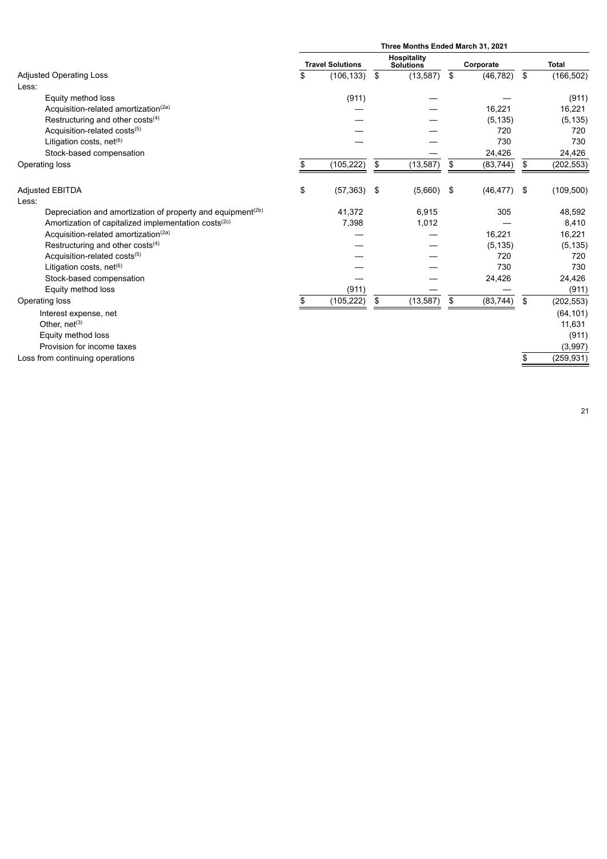|                                                                         | Three Months Ended March 31, 2021 |                         |    |                                        |    |           |    |              |
|-------------------------------------------------------------------------|-----------------------------------|-------------------------|----|----------------------------------------|----|-----------|----|--------------|
|                                                                         |                                   | <b>Travel Solutions</b> |    | <b>Hospitality</b><br><b>Solutions</b> |    | Corporate |    | <b>Total</b> |
| <b>Adjusted Operating Loss</b>                                          | \$                                | (106, 133)              | \$ | (13, 587)                              | \$ | (46, 782) | \$ | (166, 502)   |
| Less:                                                                   |                                   |                         |    |                                        |    |           |    |              |
| Equity method loss                                                      |                                   | (911)                   |    |                                        |    |           |    | (911)        |
| Acquisition-related amortization <sup>(2a)</sup>                        |                                   |                         |    |                                        |    | 16,221    |    | 16,221       |
| Restructuring and other costs <sup>(4)</sup>                            |                                   |                         |    |                                        |    | (5, 135)  |    | (5, 135)     |
| Acquisition-related costs(5)                                            |                                   |                         |    |                                        |    | 720       |    | 720          |
| Litigation costs, net <sup>(6)</sup>                                    |                                   |                         |    |                                        |    | 730       |    | 730          |
| Stock-based compensation                                                |                                   |                         |    |                                        |    | 24,426    |    | 24,426       |
| Operating loss                                                          |                                   | (105, 222)              | \$ | (13, 587)                              | \$ | (83, 744) | \$ | (202, 553)   |
| <b>Adjusted EBITDA</b>                                                  | \$                                | (57, 363)               | \$ | (5,660)                                | \$ | (46, 477) | \$ | (109, 500)   |
| Less:                                                                   |                                   |                         |    |                                        |    |           |    |              |
| Depreciation and amortization of property and equipment <sup>(2b)</sup> |                                   | 41,372                  |    | 6,915                                  |    | 305       |    | 48,592       |
| Amortization of capitalized implementation costs <sup>(2c)</sup>        |                                   | 7,398                   |    | 1,012                                  |    |           |    | 8,410        |
| Acquisition-related amortization(2a)                                    |                                   |                         |    |                                        |    | 16,221    |    | 16,221       |
| Restructuring and other costs <sup>(4)</sup>                            |                                   |                         |    |                                        |    | (5, 135)  |    | (5, 135)     |
| Acquisition-related costs(5)                                            |                                   |                         |    |                                        |    | 720       |    | 720          |
| Litigation costs, net <sup>(6)</sup>                                    |                                   |                         |    |                                        |    | 730       |    | 730          |
| Stock-based compensation                                                |                                   |                         |    |                                        |    | 24,426    |    | 24,426       |
| Equity method loss                                                      |                                   | (911)                   |    |                                        |    |           |    | (911)        |
| Operating loss                                                          | \$.                               | (105, 222)              | \$ | (13, 587)                              | \$ | (83, 744) | \$ | (202, 553)   |
| Interest expense, net                                                   |                                   |                         |    |                                        |    |           |    | (64, 101)    |
| Other, net <sup>(3)</sup>                                               |                                   |                         |    |                                        |    |           |    | 11,631       |
| Equity method loss                                                      |                                   |                         |    |                                        |    |           |    | (911)        |
| Provision for income taxes                                              |                                   |                         |    |                                        |    |           |    | (3,997)      |
| Loss from continuing operations                                         |                                   |                         |    |                                        |    |           | S  | (259, 931)   |
|                                                                         |                                   |                         |    |                                        |    |           |    |              |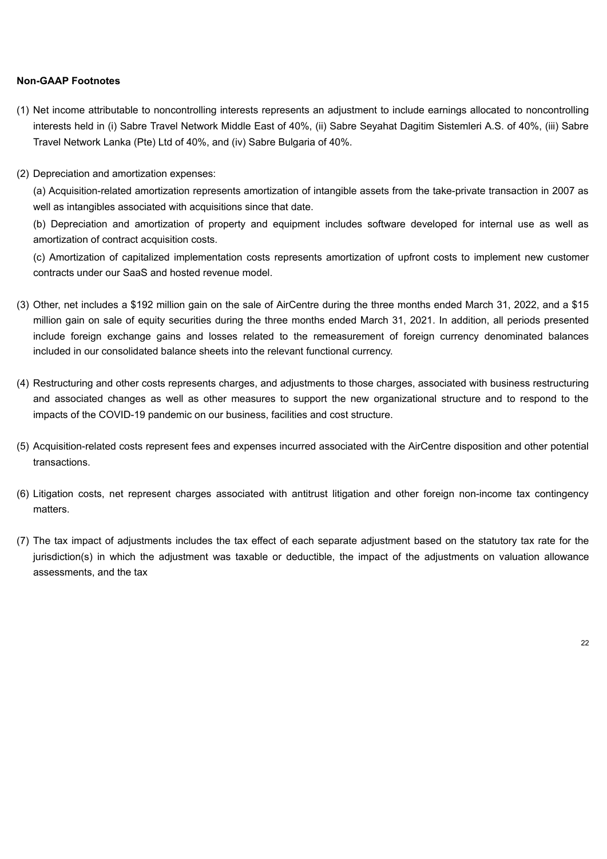#### **Non-GAAP Footnotes**

- (1) Net income attributable to noncontrolling interests represents an adjustment to include earnings allocated to noncontrolling interests held in (i) Sabre Travel Network Middle East of 40%, (ii) Sabre Seyahat Dagitim Sistemleri A.S. of 40%, (iii) Sabre Travel Network Lanka (Pte) Ltd of 40%, and (iv) Sabre Bulgaria of 40%.
- (2) Depreciation and amortization expenses:

(a) Acquisition-related amortization represents amortization of intangible assets from the take-private transaction in 2007 as well as intangibles associated with acquisitions since that date.

(b) Depreciation and amortization of property and equipment includes software developed for internal use as well as amortization of contract acquisition costs.

(c) Amortization of capitalized implementation costs represents amortization of upfront costs to implement new customer contracts under our SaaS and hosted revenue model.

- (3) Other, net includes a \$192 million gain on the sale of AirCentre during the three months ended March 31, 2022, and a \$15 million gain on sale of equity securities during the three months ended March 31, 2021. In addition, all periods presented include foreign exchange gains and losses related to the remeasurement of foreign currency denominated balances included in our consolidated balance sheets into the relevant functional currency.
- (4) Restructuring and other costs represents charges, and adjustments to those charges, associated with business restructuring and associated changes as well as other measures to support the new organizational structure and to respond to the impacts of the COVID-19 pandemic on our business, facilities and cost structure.
- (5) Acquisition-related costs represent fees and expenses incurred associated with the AirCentre disposition and other potential transactions.
- (6) Litigation costs, net represent charges associated with antitrust litigation and other foreign non-income tax contingency matters.
- (7) The tax impact of adjustments includes the tax effect of each separate adjustment based on the statutory tax rate for the jurisdiction(s) in which the adjustment was taxable or deductible, the impact of the adjustments on valuation allowance assessments, and the tax